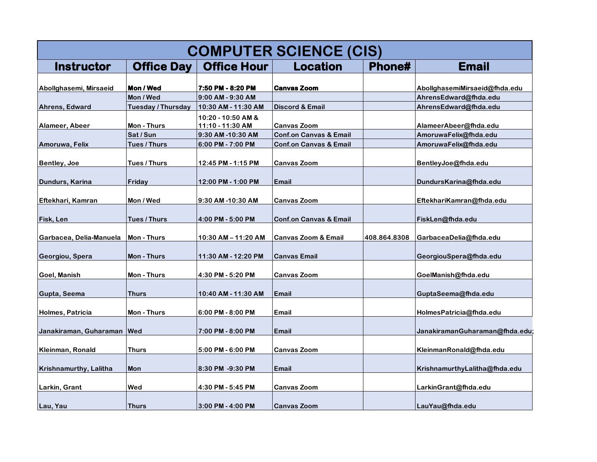| <b>COMPUTER SCIENCE (CIS)</b> |                                 |                                          |                                   |              |                                                |  |  |  |
|-------------------------------|---------------------------------|------------------------------------------|-----------------------------------|--------------|------------------------------------------------|--|--|--|
| <b>Instructor</b>             | <b>Office Day</b>               | <b>Office Hour</b>                       | <b>Location</b>                   | Phone#       | <b>Email</b>                                   |  |  |  |
|                               |                                 |                                          |                                   |              |                                                |  |  |  |
| Abollghasemi, Mirsaeid        | Mon / Wed                       | 7:50 PM - 8:20 PM                        | <b>Canvas Zoom</b>                |              | AbollghasemiMirsaeid@fhda.edu                  |  |  |  |
| Ahrens, Edward                | Mon / Wed<br>Tuesday / Thursday | 9:00 AM - 9:30 AM<br>10:30 AM - 11:30 AM | <b>Discord &amp; Email</b>        |              | AhrensEdward@fhda.edu<br>AhrensEdward@fhda.edu |  |  |  |
|                               |                                 |                                          |                                   |              |                                                |  |  |  |
| Alameer, Abeer                | Mon - Thurs                     | 10:20 - 10:50 AM &<br>11:10 - 11:30 AM   | <b>Canvas Zoom</b>                |              | AlameerAbeer@fhda.edu                          |  |  |  |
|                               | Sat / Sun                       | 9:30 AM-10:30 AM                         | <b>Conf.on Canvas &amp; Email</b> |              | AmoruwaFelix@fhda.edu                          |  |  |  |
| Amoruwa, Felix                | Tues / Thurs                    | 6:00 PM - 7:00 PM                        | <b>Conf.on Canvas &amp; Email</b> |              | AmoruwaFelix@fhda.edu                          |  |  |  |
|                               |                                 |                                          |                                   |              |                                                |  |  |  |
| <b>Bentley, Joe</b>           | Tues / Thurs                    | 12:45 PM - 1:15 PM                       | <b>Canvas Zoom</b>                |              | BentleyJoe@fhda.edu                            |  |  |  |
|                               |                                 |                                          |                                   |              |                                                |  |  |  |
| Dundurs, Karina               | Friday                          | 12:00 PM - 1:00 PM                       | <b>Email</b>                      |              | DundursKarina@fhda.edu                         |  |  |  |
|                               |                                 |                                          |                                   |              |                                                |  |  |  |
| Eftekhari, Kamran             | Mon / Wed                       | 9:30 AM-10:30 AM                         | <b>Canvas Zoom</b>                |              | EftekhariKamran@fhda.edu                       |  |  |  |
|                               |                                 |                                          |                                   |              |                                                |  |  |  |
| Fisk, Len                     | Tues / Thurs                    | 4:00 PM - 5:00 PM                        | <b>Conf.on Canvas &amp; Email</b> |              | FiskLen@fhda.edu                               |  |  |  |
| Garbacea, Delia-Manuela       | Mon - Thurs                     | 10:30 AM – 11:20 AM                      | <b>Canvas Zoom &amp; Email</b>    | 408.864.8308 | GarbaceaDelia@fhda.edu                         |  |  |  |
| Georgiou, Spera               | Mon - Thurs                     | 11:30 AM - 12:20 PM                      | <b>Canvas Email</b>               |              | GeorgiouSpera@fhda.edu                         |  |  |  |
|                               |                                 |                                          |                                   |              |                                                |  |  |  |
| Goel, Manish                  | Mon - Thurs                     | 4:30 PM - 5:20 PM                        | <b>Canvas Zoom</b>                |              | GoelManish@fhda.edu                            |  |  |  |
|                               |                                 |                                          |                                   |              |                                                |  |  |  |
| Gupta, Seema                  | Thurs                           | 10:40 AM - 11:30 AM                      | <b>Email</b>                      |              | GuptaSeema@fhda.edu                            |  |  |  |
| Holmes, Patricia              | Mon - Thurs                     | $6:00$ PM - 8:00 PM                      | <b>Email</b>                      |              | HolmesPatricia@fhda.edu                        |  |  |  |
|                               |                                 |                                          |                                   |              |                                                |  |  |  |
| Janakiraman, Guharaman   Wed  |                                 | 7:00 PM - 8:00 PM                        | <b>Email</b>                      |              | JanakiramanGuharaman@fhda.edu;                 |  |  |  |
|                               |                                 |                                          |                                   |              |                                                |  |  |  |
| Kleinman, Ronald              | <b>Thurs</b>                    | $5:00$ PM - $6:00$ PM                    | <b>Canvas Zoom</b>                |              | KleinmanRonald@fhda.edu                        |  |  |  |
| <b>Krishnamurthy, Lalitha</b> | <b>Mon</b>                      | 8:30 PM -9:30 PM                         | <b>Email</b>                      |              | KrishnamurthyLalitha@fhda.edu                  |  |  |  |
|                               |                                 |                                          |                                   |              |                                                |  |  |  |
| Larkin, Grant                 | Wed                             | 4:30 PM - 5:45 PM                        | <b>Canvas Zoom</b>                |              | LarkinGrant@fhda.edu                           |  |  |  |
|                               |                                 |                                          |                                   |              |                                                |  |  |  |
| Lau, Yau                      | <b>Thurs</b>                    | 3:00 PM - 4:00 PM                        | <b>Canvas Zoom</b>                |              | LauYau@fhda.edu                                |  |  |  |